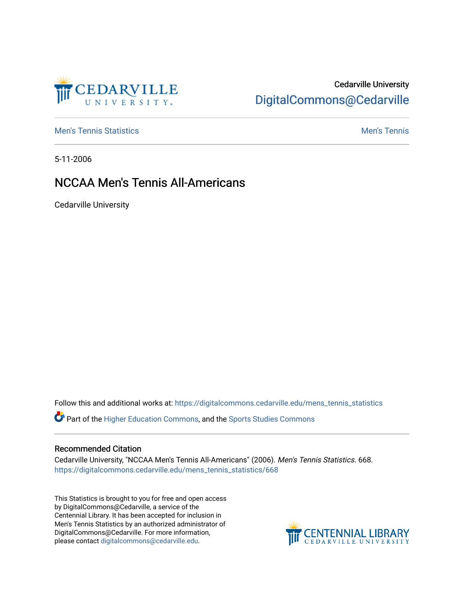# CEDARVILLE

## Cedarville University [DigitalCommons@Cedarville](https://digitalcommons.cedarville.edu/)

**[Men's Tennis Statistics](https://digitalcommons.cedarville.edu/mens_tennis_statistics) Men's Tennis** Men's Tennis

5-11-2006

## NCCAA Men's Tennis All-Americans

Cedarville University

Follow this and additional works at: [https://digitalcommons.cedarville.edu/mens\\_tennis\\_statistics](https://digitalcommons.cedarville.edu/mens_tennis_statistics?utm_source=digitalcommons.cedarville.edu%2Fmens_tennis_statistics%2F668&utm_medium=PDF&utm_campaign=PDFCoverPages)

Part of the [Higher Education Commons,](http://network.bepress.com/hgg/discipline/1245?utm_source=digitalcommons.cedarville.edu%2Fmens_tennis_statistics%2F668&utm_medium=PDF&utm_campaign=PDFCoverPages) and the [Sports Studies Commons](http://network.bepress.com/hgg/discipline/1198?utm_source=digitalcommons.cedarville.edu%2Fmens_tennis_statistics%2F668&utm_medium=PDF&utm_campaign=PDFCoverPages) 

### Recommended Citation

Cedarville University, "NCCAA Men's Tennis All-Americans" (2006). Men's Tennis Statistics. 668. [https://digitalcommons.cedarville.edu/mens\\_tennis\\_statistics/668](https://digitalcommons.cedarville.edu/mens_tennis_statistics/668?utm_source=digitalcommons.cedarville.edu%2Fmens_tennis_statistics%2F668&utm_medium=PDF&utm_campaign=PDFCoverPages) 

This Statistics is brought to you for free and open access by DigitalCommons@Cedarville, a service of the Centennial Library. It has been accepted for inclusion in Men's Tennis Statistics by an authorized administrator of DigitalCommons@Cedarville. For more information, please contact [digitalcommons@cedarville.edu](mailto:digitalcommons@cedarville.edu).